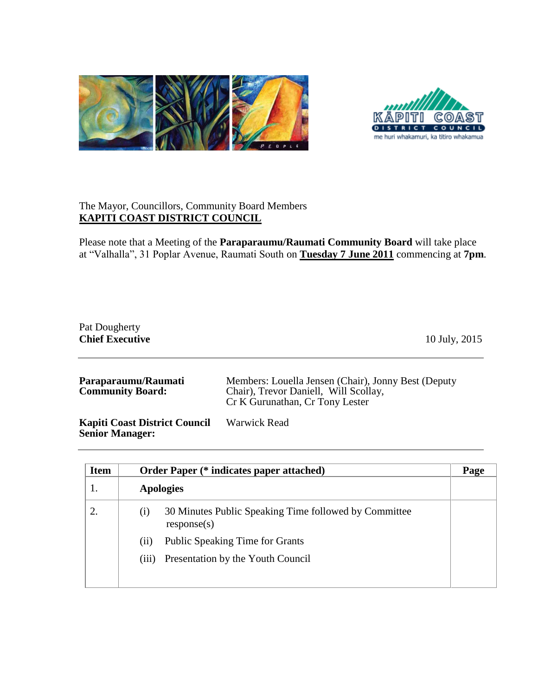



## The Mayor, Councillors, Community Board Members **KAPITI COAST DISTRICT COUNCIL**

Please note that a Meeting of the **Paraparaumu/Raumati Community Board** will take place at "Valhalla", 31 Poplar Avenue, Raumati South on **Tuesday 7 June 2011** commencing at **7pm**.

## Pat Dougherty **Chief Executive** 10 July, 2015

| Paraparaumu/Raumati<br><b>Community Board:</b> | Members: Louella Jensen (Chair), Jonny Best (Deputy<br>Chair), Trevor Daniell, Will Scollay,<br>Cr K Gurunathan, Cr Tony Lester |
|------------------------------------------------|---------------------------------------------------------------------------------------------------------------------------------|
|                                                |                                                                                                                                 |

**Kapiti Coast District Council Senior Manager:** Warwick Read

| <b>Item</b> | <b>Order Paper (* indicates paper attached)</b>                             | Page |
|-------------|-----------------------------------------------------------------------------|------|
|             | <b>Apologies</b>                                                            |      |
| 2.          | 30 Minutes Public Speaking Time followed by Committee<br>(i)<br>response(s) |      |
|             | <b>Public Speaking Time for Grants</b><br>(i)                               |      |
|             | Presentation by the Youth Council<br>(iii)                                  |      |
|             |                                                                             |      |